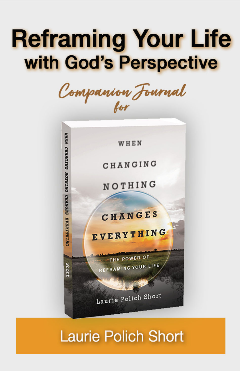# **Reframing Your Life** with God's Perspective

Companion Fournal



## **Laurie Polich Short**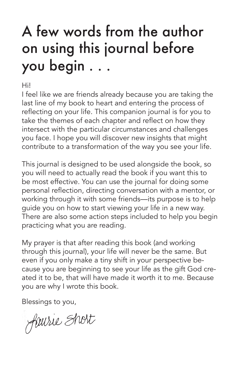# A few words from the author on using this journal before you begin . . .

Hi!

I feel like we are friends already because you are taking the last line of my book to heart and entering the process of reflecting on your life. This companion journal is for you to take the themes of each chapter and reflect on how they intersect with the particular circumstances and challenges you face. I hope you will discover new insights that might contribute to a transformation of the way you see your life.

This journal is designed to be used alongside the book, so you will need to actually read the book if you want this to be most effective. You can use the journal for doing some personal reflection, directing conversation with a mentor, or working through it with some friends—its purpose is to help guide you on how to start viewing your life in a new way. There are also some action steps included to help you begin practicing what you are reading.

My prayer is that after reading this book (and working through this journal), your life will never be the same. But even if you only make a tiny shift in your perspective because you are beginning to see your life as the gift God created it to be, that will have made it worth it to me. Because you are why I wrote this book.

Blessings to you,

faurie Short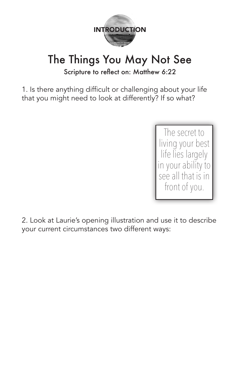

#### The Things You May Not See Scripture to reflect on: Matthew 6:22

1. Is there anything difficult or challenging about your life that you might need to look at differently? If so what?

> The secret to living your best life lies largely in your ability to see all that is in front of you.

2. Look at Laurie's opening illustration and use it to describe your current circumstances two different ways: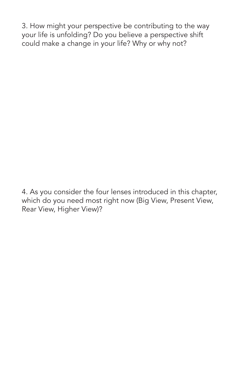3. How might your perspective be contributing to the way your life is unfolding? Do you believe a perspective shift could make a change in your life? Why or why not?

4. As you consider the four lenses introduced in this chapter, which do you need most right now (Big View, Present View, Rear View, Higher View)?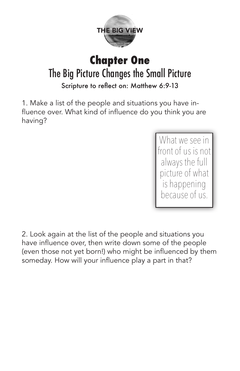

#### **Chapter One** The Big Picture Changes the Small Picture Scripture to reflect on: Matthew 6:9-13

1. Make a list of the people and situations you have influence over. What kind of influence do you think you are having?

> What we see in front of us is not always the full picture of what is happening because of us.

2. Look again at the list of the people and situations you have influence over, then write down some of the people (even those not yet born!) who might be influenced by them someday. How will your influence play a part in that?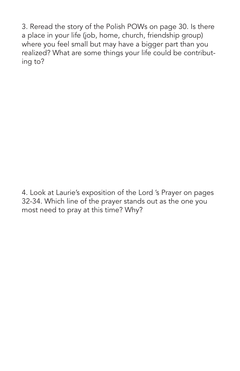3. Reread the story of the Polish POWs on page 30. Is there a place in your life (job, home, church, friendship group) where you feel small but may have a bigger part than you realized? What are some things your life could be contributing to?

4. Look at Laurie's exposition of the Lord 's Prayer on pages 32-34. Which line of the prayer stands out as the one you most need to pray at this time? Why?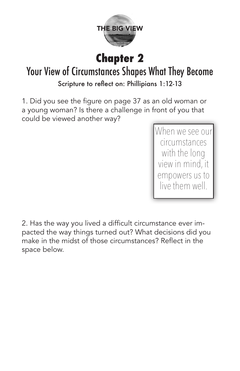

### **Chapter 2**

#### Your View of Circumstances Shapes What They Become Scripture to reflect on: Phillipians 1:12-13

1. Did you see the figure on page 37 as an old woman or a young woman? Is there a challenge in front of you that could be viewed another way?

> When we see our circumstances with the long view in mind, it empowers us to live them well.

2. Has the way you lived a difficult circumstance ever impacted the way things turned out? What decisions did you make in the midst of those circumstances? Reflect in the space below.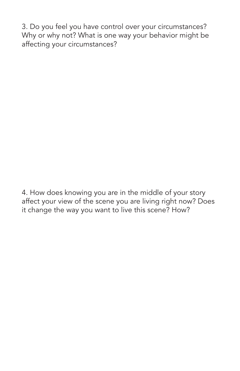3. Do you feel you have control over your circumstances? Why or why not? What is one way your behavior might be affecting your circumstances?

4. How does knowing you are in the middle of your story affect your view of the scene you are living right now? Does it change the way you want to live this scene? How?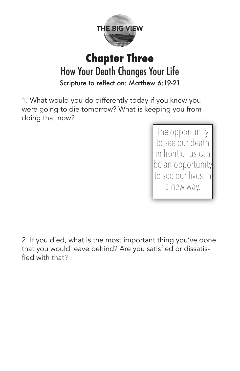

#### **Chapter Three** How Your Death Changes Your Life Scripture to reflect on: Matthew 6:19-21

1. What would you do differently today if you knew you were going to die tomorrow? What is keeping you from doing that now?

> The opportunity to see our death in front of us can be an opportunity to see our lives in a new way.

2. If you died, what is the most important thing you've done that you would leave behind? Are you satisfied or dissatisfied with that?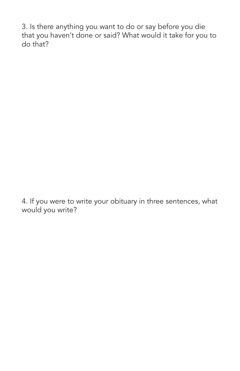3. Is there anything you want to do or say before you die that you haven't done or said? What would it take for you to do that?

4. If you were to write your obituary in three sentences, what would you write?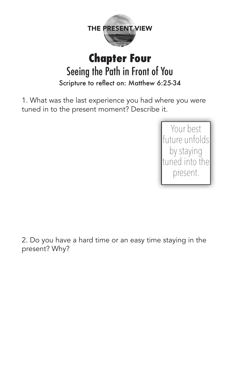

#### **Chapter Four** Seeing the Path in Front of You Scripture to reflect on: Matthew 6:25-34

1. What was the last experience you had where you were tuned in to the present moment? Describe it.



2. Do you have a hard time or an easy time staying in the present? Why?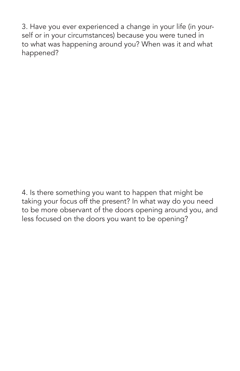3. Have you ever experienced a change in your life (in yourself or in your circumstances) because you were tuned in to what was happening around you? When was it and what happened?

4. Is there something you want to happen that might be taking your focus off the present? In what way do you need to be more observant of the doors opening around you, and less focused on the doors you want to be opening?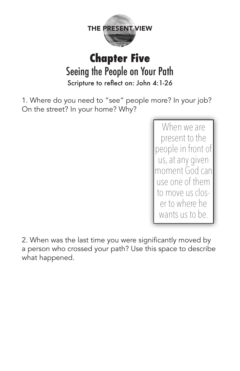

#### **Chapter Five** Seeing the People on Your Path Scripture to reflect on: John 4:1-26

1. Where do you need to "see" people more? In your job? On the street? In your home? Why?

> When we are present to the people in front of us, at any given moment God can use one of them to move us closer to where he wants us to be.

2. When was the last time you were significantly moved by a person who crossed your path? Use this space to describe what happened.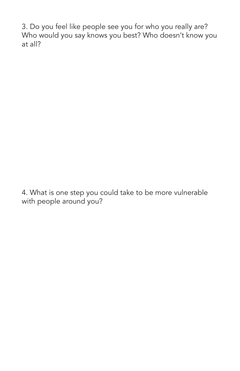3. Do you feel like people see you for who you really are? Who would you say knows you best? Who doesn't know you at all?

4. What is one step you could take to be more vulnerable with people around you?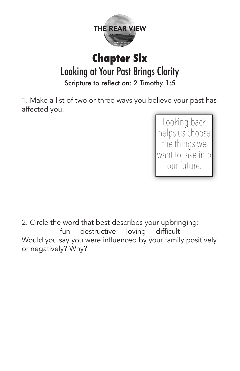

#### **Chapter Six** Looking at Your Past Brings Clarity Scripture to reflect on: 2 Timothy 1:5

1. Make a list of two or three ways you believe your past has affected you.

> Looking back helps us choose the things we want to take into our future.

2. Circle the word that best describes your upbringing: fun destructive loving difficult Would you say you were influenced by your family positively or negatively? Why?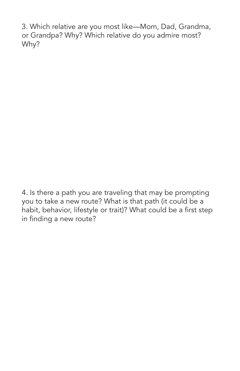3. Which relative are you most like—Mom, Dad, Grandma, or Grandpa? Why? Which relative do you admire most? Why?

4. Is there a path you are traveling that may be prompting you to take a new route? What is that path (it could be a habit, behavior, lifestyle or trait)? What could be a first step in finding a new route?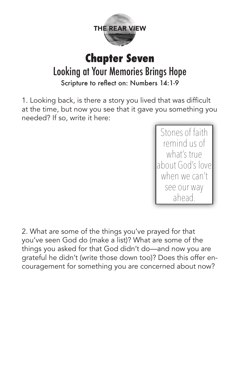

#### **Chapter Seven** Looking at Your Memories Brings Hope Scripture to reflect on: Numbers 14:1-9

1. Looking back, is there a story you lived that was difficult at the time, but now you see that it gave you something you needed? If so, write it here:

> Stones of faith remind us of what's true about God's love when we can't see our way ahead.

2. What are some of the things you've prayed for that you've seen God do (make a list)? What are some of the things you asked for that God didn't do—and now you are grateful he didn't (write those down too)? Does this offer encouragement for something you are concerned about now?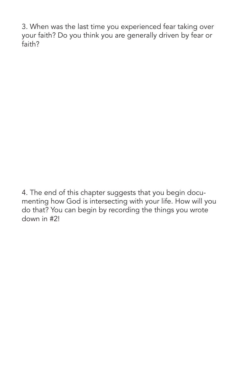3. When was the last time you experienced fear taking over your faith? Do you think you are generally driven by fear or faith?

4. The end of this chapter suggests that you begin documenting how God is intersecting with your life. How will you do that? You can begin by recording the things you wrote down in #2!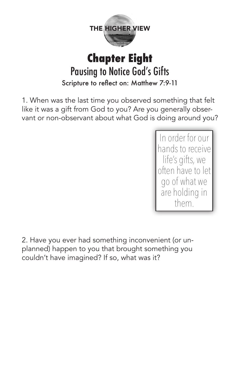

#### **Chapter Eight** Pausing to Notice God's Gifts Scripture to reflect on: Matthew 7:9-11

1. When was the last time you observed something that felt like it was a gift from God to you? Are you generally observant or non-observant about what God is doing around you?

> In order for our hands to receive life's gifts, we often have to let go of what we are holding in them.

2. Have you ever had something inconvenient (or unplanned) happen to you that brought something you couldn't have imagined? If so, what was it?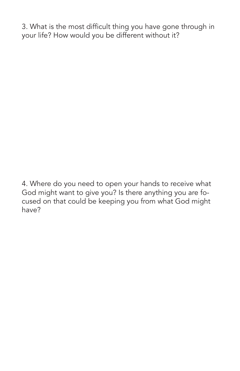3. What is the most difficult thing you have gone through in your life? How would you be different without it?

4. Where do you need to open your hands to receive what God might want to give you? Is there anything you are focused on that could be keeping you from what God might have?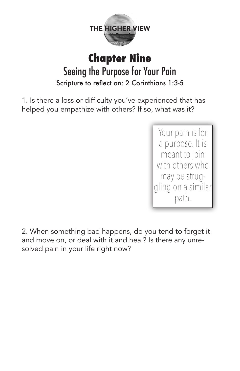

#### **Chapter Nine** Seeing the Purpose for Your Pain Scripture to reflect on: 2 Corinthians 1:3-5

1. Is there a loss or difficulty you've experienced that has helped you empathize with others? If so, what was it?

> Your pain is for a purpose. It is meant to join with others who may be struggling on a similar path.

2. When something bad happens, do you tend to forget it and move on, or deal with it and heal? Is there any unresolved pain in your life right now?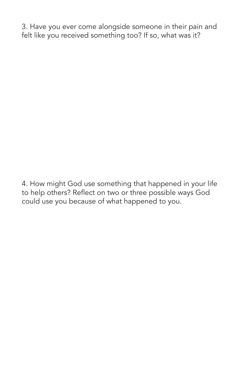3. Have you ever come alongside someone in their pain and felt like you received something too? If so, what was it?

4. How might God use something that happened in your life to help others? Reflect on two or three possible ways God could use you because of what happened to you.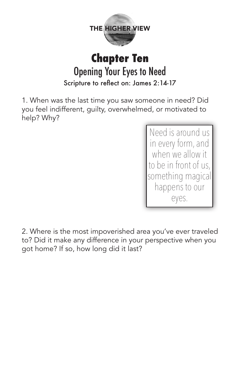

#### **Chapter Ten** Opening Your Eyes to Need Scripture to reflect on: James 2:14-17

1. When was the last time you saw someone in need? Did you feel indifferent, guilty, overwhelmed, or motivated to help? Why?

> Need is around us in every form, and when we allow it to be in front of us, something magical happens to our eyes.

2. Where is the most impoverished area you've ever traveled to? Did it make any difference in your perspective when you got home? If so, how long did it last?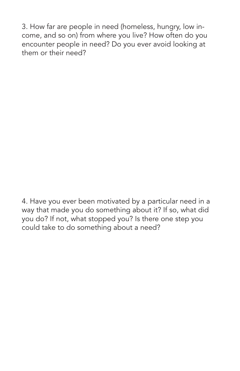3. How far are people in need (homeless, hungry, low income, and so on) from where you live? How often do you encounter people in need? Do you ever avoid looking at them or their need?

4. Have you ever been motivated by a particular need in a way that made you do something about it? If so, what did you do? If not, what stopped you? Is there one step you could take to do something about a need?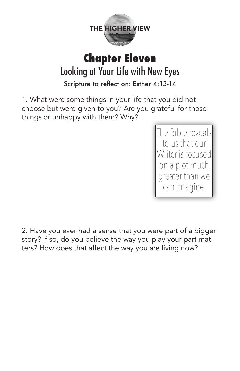

#### **Chapter Eleven** Looking at Your Life with New Eyes Scripture to reflect on: Esther 4:13-14

1. What were some things in your life that you did not choose but were given to you? Are you grateful for those things or unhappy with them? Why?

> The Bible reveals to us that our Writer is focused on a plot much greater than we can imagine.

2. Have you ever had a sense that you were part of a bigger story? If so, do you believe the way you play your part matters? How does that affect the way you are living now?